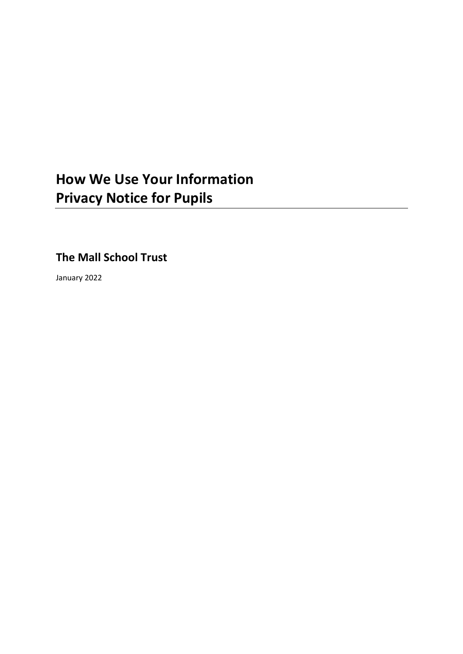# **How We Use Your Information Privacy Notice for Pupils**

**The Mall School Trust**

January 2022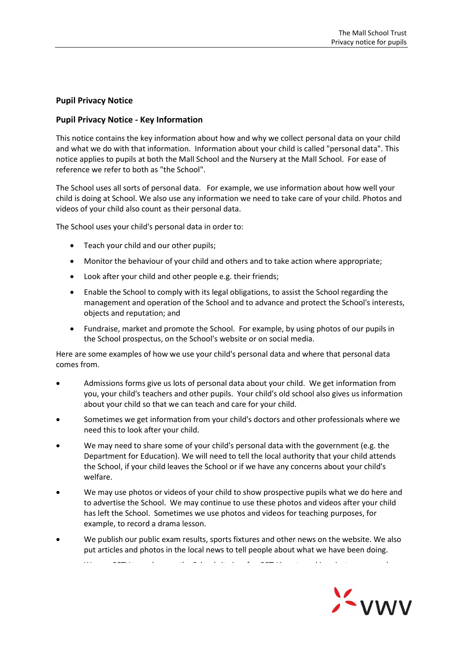## **Pupil Privacy Notice**

## **Pupil Privacy Notice - Key Information**

This notice contains the key information about how and why we collect personal data on your child and what we do with that information. Information about your child is called "personal data". This notice applies to pupils at both the Mall School and the Nursery at the Mall School. For ease of reference we refer to both as "the School".

The School uses all sorts of personal data. For example, we use information about how well your child is doing at School. We also use any information we need to take care of your child. Photos and videos of your child also count as their personal data.

The School uses your child's personal data in order to:

- Teach your child and our other pupils;
- Monitor the behaviour of your child and others and to take action where appropriate;
- Look after your child and other people e.g. their friends;
- Enable the School to comply with its legal obligations, to assist the School regarding the management and operation of the School and to advance and protect the School's interests, objects and reputation; and
- Fundraise, market and promote the School. For example, by using photos of our pupils in the School prospectus, on the School's website or on social media.

Here are some examples of how we use your child's personal data and where that personal data comes from.

- Admissions forms give us lots of personal data about your child. We get information from you, your child's teachers and other pupils. Your child's old school also gives us information about your child so that we can teach and care for your child.
- Sometimes we get information from your child's doctors and other professionals where we need this to look after your child.
- We may need to share some of your child's personal data with the government (e.g. the Department for Education). We will need to tell the local authority that your child attends the School, if your child leaves the School or if we have any concerns about your child's welfare.
- We may use photos or videos of your child to show prospective pupils what we do here and to advertise the School. We may continue to use these photos and videos after your child has left the School. Sometimes we use photos and videos for teaching purposes, for example, to record a drama lesson.
- We publish our public exam results, sports fixtures and other news on the website. We also put articles and photos in the local news to tell people about what we have been doing.

We use CCTV to make sure the School site is safe. CCTV is safe. CCTV is not used in private areas sure that is<br>The School site is not used in private areas such as a private areas such as a private areas such as a private

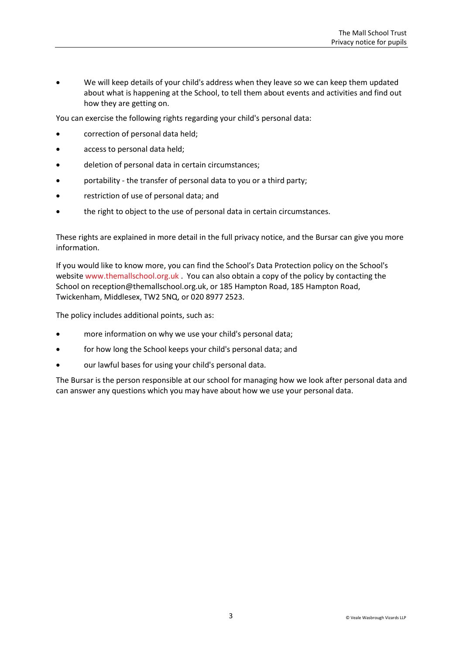We will keep details of your child's address when they leave so we can keep them updated about what is happening at the School, to tell them about events and activities and find out how they are getting on.

You can exercise the following rights regarding your child's personal data:

- correction of personal data held;
- access to personal data held;
- deletion of personal data in certain circumstances;
- portability the transfer of personal data to you or a third party;
- restriction of use of personal data; and
- the right to object to the use of personal data in certain circumstances.

These rights are explained in more detail in the full privacy notice, and the Bursar can give you more information.

If you would like to know more, you can find the School's Data Protection policy on the School's websit[e www.themallschool.org.uk](http://www.themallschool.org.uk/) . You can also obtain a copy of the policy by contacting the School on [reception@themallschool.org.uk,](mailto:reception@themallschool.org.uk) or 185 Hampton Road, 185 Hampton Road, Twickenham, Middlesex, TW2 5NQ, or 020 8977 2523.

The policy includes additional points, such as:

- more information on why we use your child's personal data;
- for how long the School keeps your child's personal data; and
- our lawful bases for using your child's personal data.

The Bursar is the person responsible at our school for managing how we look after personal data and can answer any questions which you may have about how we use your personal data.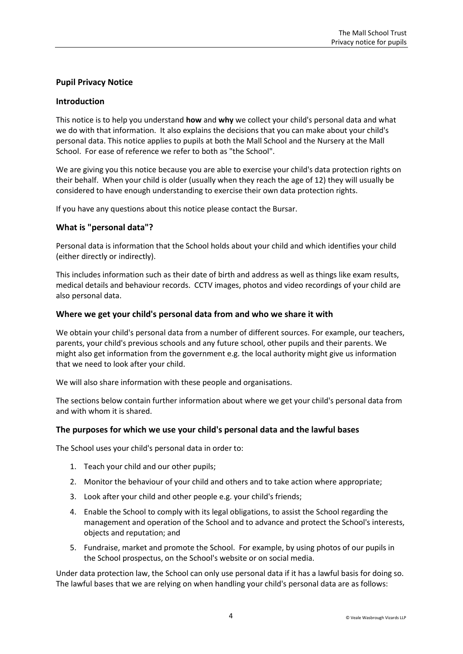## **Pupil Privacy Notice**

#### **Introduction**

This notice is to help you understand **how** and **why** we collect your child's personal data and what we do with that information. It also explains the decisions that you can make about your child's personal data. This notice applies to pupils at both the Mall School and the Nursery at the Mall School. For ease of reference we refer to both as "the School".

We are giving you this notice because you are able to exercise your child's data protection rights on their behalf. When your child is older (usually when they reach the age of 12) they will usually be considered to have enough understanding to exercise their own data protection rights.

If you have any questions about this notice please contact the Bursar.

## **What is "personal data"?**

Personal data is information that the School holds about your child and which identifies your child (either directly or indirectly).

This includes information such as their date of birth and address as well as things like exam results, medical details and behaviour records. CCTV images, photos and video recordings of your child are also personal data.

#### **Where we get your child's personal data from and who we share it with**

We obtain your child's personal data from a number of different sources. For example, our teachers, parents, your child's previous schools and any future school, other pupils and their parents. We might also get information from the government e.g. the local authority might give us information that we need to look after your child.

We will also share information with these people and organisations.

The sections below contain further information about where we get your child's personal data from and with whom it is shared.

## **The purposes for which we use your child's personal data and the lawful bases**

The School uses your child's personal data in order to:

- 1. Teach your child and our other pupils;
- 2. Monitor the behaviour of your child and others and to take action where appropriate;
- 3. Look after your child and other people e.g. your child's friends;
- 4. Enable the School to comply with its legal obligations, to assist the School regarding the management and operation of the School and to advance and protect the School's interests, objects and reputation; and
- 5. Fundraise, market and promote the School. For example, by using photos of our pupils in the School prospectus, on the School's website or on social media.

Under data protection law, the School can only use personal data if it has a lawful basis for doing so. The lawful bases that we are relying on when handling your child's personal data are as follows: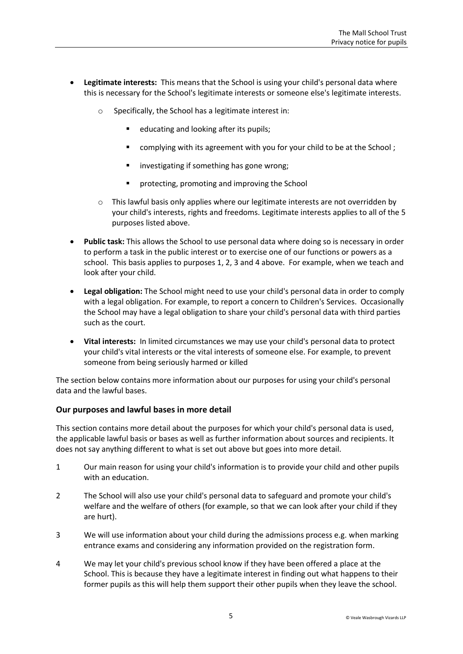- **Legitimate interests:** This means that the School is using your child's personal data where this is necessary for the School's legitimate interests or someone else's legitimate interests.
	- o Specifically, the School has a legitimate interest in:
		- educating and looking after its pupils;
		- **E** complying with its agreement with you for your child to be at the School;
		- **EXEDENT INVERTIGATION IS SOME WROTE:** investigating if something has gone wrong;
		- **P** protecting, promoting and improving the School
	- $\circ$  This lawful basis only applies where our legitimate interests are not overridden by your child's interests, rights and freedoms. Legitimate interests applies to all of the 5 purposes listed above.
- **Public task:** This allows the School to use personal data where doing so is necessary in order to perform a task in the public interest or to exercise one of our functions or powers as a school. This basis applies to purposes 1, 2, 3 and 4 above. For example, when we teach and look after your child.
- **Legal obligation:** The School might need to use your child's personal data in order to comply with a legal obligation. For example, to report a concern to Children's Services. Occasionally the School may have a legal obligation to share your child's personal data with third parties such as the court.
- **Vital interests:** In limited circumstances we may use your child's personal data to protect your child's vital interests or the vital interests of someone else. For example, to prevent someone from being seriously harmed or killed

The section below contains more information about our purposes for using your child's personal data and the lawful bases.

## **Our purposes and lawful bases in more detail**

This section contains more detail about the purposes for which your child's personal data is used, the applicable lawful basis or bases as well as further information about sources and recipients. It does not say anything different to what is set out above but goes into more detail.

- 1 Our main reason for using your child's information is to provide your child and other pupils with an education.
- 2 The School will also use your child's personal data to safeguard and promote your child's welfare and the welfare of others (for example, so that we can look after your child if they are hurt).
- 3 We will use information about your child during the admissions process e.g. when marking entrance exams and considering any information provided on the registration form.
- 4 We may let your child's previous school know if they have been offered a place at the School. This is because they have a legitimate interest in finding out what happens to their former pupils as this will help them support their other pupils when they leave the school.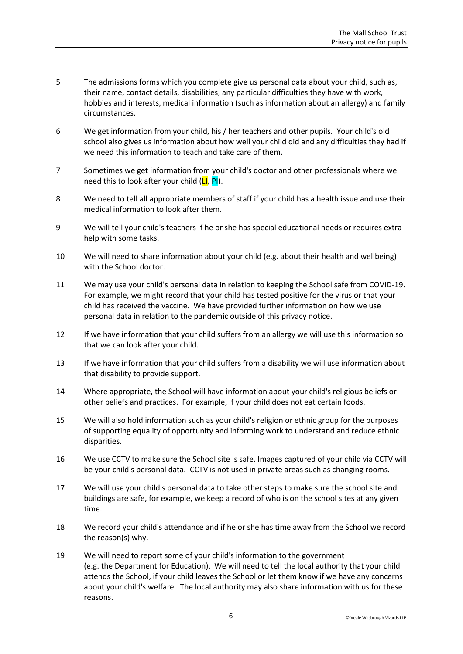- 5 The admissions forms which you complete give us personal data about your child, such as, their name, contact details, disabilities, any particular difficulties they have with work, hobbies and interests, medical information (such as information about an allergy) and family circumstances.
- 6 We get information from your child, his / her teachers and other pupils. Your child's old school also gives us information about how well your child did and any difficulties they had if we need this information to teach and take care of them.
- 7 Sometimes we get information from your child's doctor and other professionals where we need this to look after your child  $(LI, PI)$ .
- 8 We need to tell all appropriate members of staff if your child has a health issue and use their medical information to look after them.
- 9 We will tell your child's teachers if he or she has special educational needs or requires extra help with some tasks.
- 10 We will need to share information about your child (e.g. about their health and wellbeing) with the School doctor.
- 11 We may use your child's personal data in relation to keeping the School safe from COVID-19. For example, we might record that your child has tested positive for the virus or that your child has received the vaccine. We have provided further information on how we use personal data in relation to the pandemic outside of this privacy notice.
- 12 If we have information that your child suffers from an allergy we will use this information so that we can look after your child.
- 13 If we have information that your child suffers from a disability we will use information about that disability to provide support.
- 14 Where appropriate, the School will have information about your child's religious beliefs or other beliefs and practices. For example, if your child does not eat certain foods.
- 15 We will also hold information such as your child's religion or ethnic group for the purposes of supporting equality of opportunity and informing work to understand and reduce ethnic disparities.
- 16 We use CCTV to make sure the School site is safe. Images captured of your child via CCTV will be your child's personal data. CCTV is not used in private areas such as changing rooms.
- 17 We will use your child's personal data to take other steps to make sure the school site and buildings are safe, for example, we keep a record of who is on the school sites at any given time.
- 18 We record your child's attendance and if he or she has time away from the School we record the reason(s) why.
- 19 We will need to report some of your child's information to the government (e.g. the Department for Education). We will need to tell the local authority that your child attends the School, if your child leaves the School or let them know if we have any concerns about your child's welfare. The local authority may also share information with us for these reasons.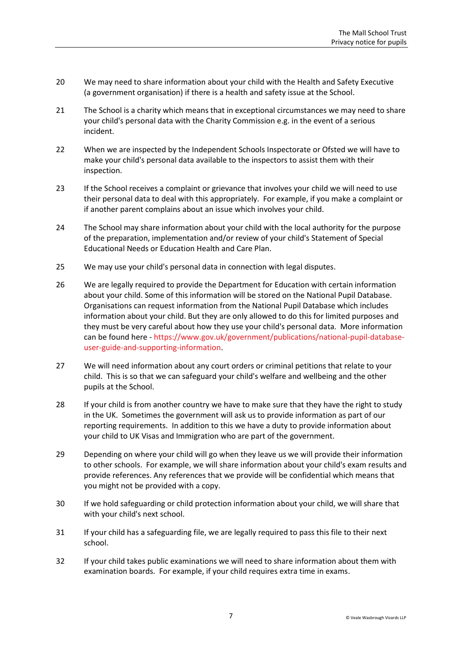- 20 We may need to share information about your child with the Health and Safety Executive (a government organisation) if there is a health and safety issue at the School.
- 21 The School is a charity which means that in exceptional circumstances we may need to share your child's personal data with the Charity Commission e.g. in the event of a serious incident.
- 22 When we are inspected by the Independent Schools Inspectorate or Ofsted we will have to make your child's personal data available to the inspectors to assist them with their inspection.
- 23 If the School receives a complaint or grievance that involves your child we will need to use their personal data to deal with this appropriately. For example, if you make a complaint or if another parent complains about an issue which involves your child.
- 24 The School may share information about your child with the local authority for the purpose of the preparation, implementation and/or review of your child's Statement of Special Educational Needs or Education Health and Care Plan.
- 25 We may use your child's personal data in connection with legal disputes.
- 26 We are legally required to provide the Department for Education with certain information about your child. Some of this information will be stored on the National Pupil Database. Organisations can request information from the National Pupil Database which includes information about your child. But they are only allowed to do this for limited purposes and they must be very careful about how they use your child's personal data. More information can be found here - [https://www.gov.uk/government/publications/national-pupil-database](https://www.gov.uk/government/publications/national-pupil-database-user-guide-and-supporting-information)[user-guide-and-supporting-information.](https://www.gov.uk/government/publications/national-pupil-database-user-guide-and-supporting-information)
- 27 We will need information about any court orders or criminal petitions that relate to your child. This is so that we can safeguard your child's welfare and wellbeing and the other pupils at the School.
- 28 If your child is from another country we have to make sure that they have the right to study in the UK. Sometimes the government will ask us to provide information as part of our reporting requirements. In addition to this we have a duty to provide information about your child to UK Visas and Immigration who are part of the government.
- 29 Depending on where your child will go when they leave us we will provide their information to other schools. For example, we will share information about your child's exam results and provide references. Any references that we provide will be confidential which means that you might not be provided with a copy.
- 30 If we hold safeguarding or child protection information about your child, we will share that with your child's next school.
- 31 If your child has a safeguarding file, we are legally required to pass this file to their next school.
- 32 If your child takes public examinations we will need to share information about them with examination boards. For example, if your child requires extra time in exams.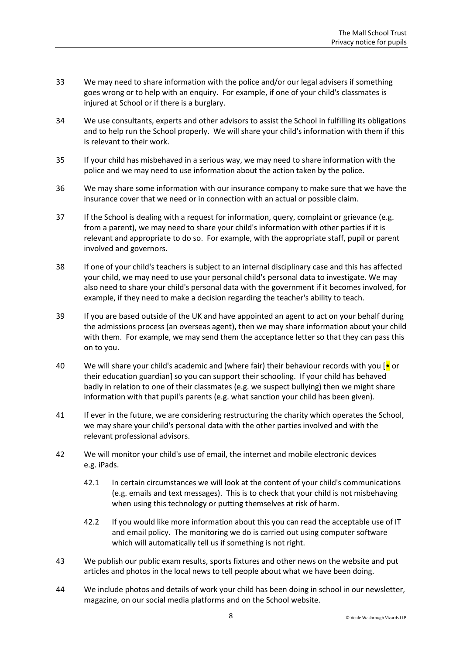- 33 We may need to share information with the police and/or our legal advisers if something goes wrong or to help with an enquiry. For example, if one of your child's classmates is injured at School or if there is a burglary.
- 34 We use consultants, experts and other advisors to assist the School in fulfilling its obligations and to help run the School properly. We will share your child's information with them if this is relevant to their work.
- 35 If your child has misbehaved in a serious way, we may need to share information with the police and we may need to use information about the action taken by the police.
- 36 We may share some information with our insurance company to make sure that we have the insurance cover that we need or in connection with an actual or possible claim.
- 37 If the School is dealing with a request for information, query, complaint or grievance (e.g. from a parent), we may need to share your child's information with other parties if it is relevant and appropriate to do so. For example, with the appropriate staff, pupil or parent involved and governors.
- 38 If one of your child's teachers is subject to an internal disciplinary case and this has affected your child, we may need to use your personal child's personal data to investigate. We may also need to share your child's personal data with the government if it becomes involved, for example, if they need to make a decision regarding the teacher's ability to teach.
- 39 If you are based outside of the UK and have appointed an agent to act on your behalf during the admissions process (an overseas agent), then we may share information about your child with them. For example, we may send them the acceptance letter so that they can pass this on to you.
- 40 We will share your child's academic and (where fair) their behaviour records with you [ $\bullet$  or their education guardian] so you can support their schooling. If your child has behaved badly in relation to one of their classmates (e.g. we suspect bullying) then we might share information with that pupil's parents (e.g. what sanction your child has been given).
- 41 If ever in the future, we are considering restructuring the charity which operates the School, we may share your child's personal data with the other parties involved and with the relevant professional advisors.
- 42 We will monitor your child's use of email, the internet and mobile electronic devices e.g. iPads.
	- 42.1 In certain circumstances we will look at the content of your child's communications (e.g. emails and text messages). This is to check that your child is not misbehaving when using this technology or putting themselves at risk of harm.
	- 42.2 If you would like more information about this you can read the acceptable use of IT and email policy. The monitoring we do is carried out using computer software which will automatically tell us if something is not right.
- 43 We publish our public exam results, sports fixtures and other news on the website and put articles and photos in the local news to tell people about what we have been doing.
- 44 We include photos and details of work your child has been doing in school in our newsletter, magazine, on our social media platforms and on the School website.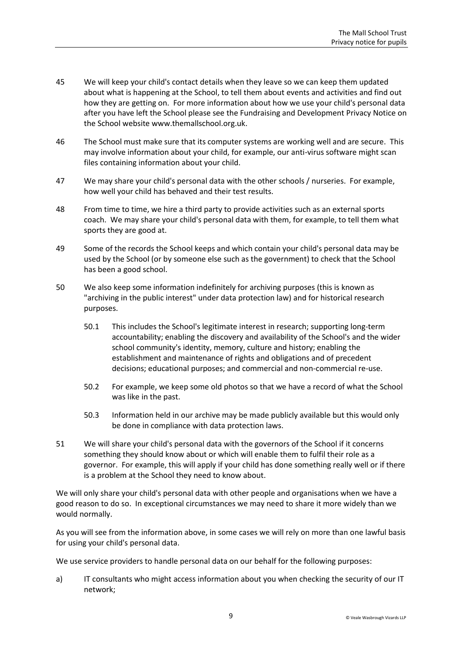- 45 We will keep your child's contact details when they leave so we can keep them updated about what is happening at the School, to tell them about events and activities and find out how they are getting on. For more information about how we use your child's personal data after you have left the School please see the Fundraising and Development Privacy Notice on the School website www.themallschool.org.uk.
- 46 The School must make sure that its computer systems are working well and are secure. This may involve information about your child, for example, our anti-virus software might scan files containing information about your child.
- 47 We may share your child's personal data with the other schools / nurseries. For example, how well your child has behaved and their test results.
- 48 From time to time, we hire a third party to provide activities such as an external sports coach. We may share your child's personal data with them, for example, to tell them what sports they are good at.
- 49 Some of the records the School keeps and which contain your child's personal data may be used by the School (or by someone else such as the government) to check that the School has been a good school.
- 50 We also keep some information indefinitely for archiving purposes (this is known as "archiving in the public interest" under data protection law) and for historical research purposes.
	- 50.1 This includes the School's legitimate interest in research; supporting long-term accountability; enabling the discovery and availability of the School's and the wider school community's identity, memory, culture and history; enabling the establishment and maintenance of rights and obligations and of precedent decisions; educational purposes; and commercial and non-commercial re-use.
	- 50.2 For example, we keep some old photos so that we have a record of what the School was like in the past.
	- 50.3 Information held in our archive may be made publicly available but this would only be done in compliance with data protection laws.
- 51 We will share your child's personal data with the governors of the School if it concerns something they should know about or which will enable them to fulfil their role as a governor. For example, this will apply if your child has done something really well or if there is a problem at the School they need to know about.

We will only share your child's personal data with other people and organisations when we have a good reason to do so. In exceptional circumstances we may need to share it more widely than we would normally.

As you will see from the information above, in some cases we will rely on more than one lawful basis for using your child's personal data.

We use service providers to handle personal data on our behalf for the following purposes:

a) IT consultants who might access information about you when checking the security of our IT network;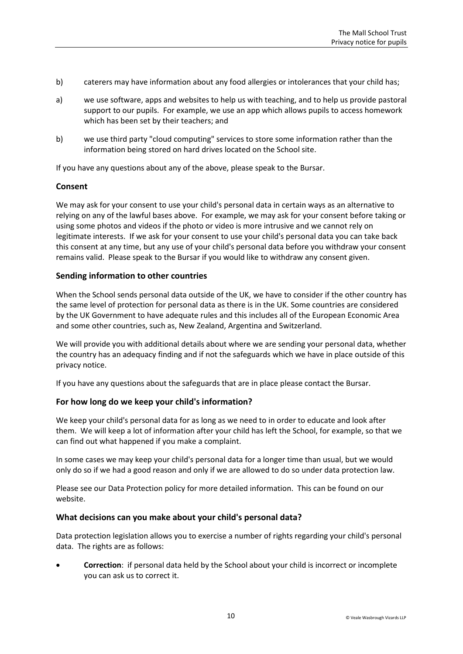- b) caterers may have information about any food allergies or intolerances that your child has;
- a) we use software, apps and websites to help us with teaching, and to help us provide pastoral support to our pupils. For example, we use an app which allows pupils to access homework which has been set by their teachers; and
- b) we use third party "cloud computing" services to store some information rather than the information being stored on hard drives located on the School site.

If you have any questions about any of the above, please speak to the Bursar.

## **Consent**

We may ask for your consent to use your child's personal data in certain ways as an alternative to relying on any of the lawful bases above. For example, we may ask for your consent before taking or using some photos and videos if the photo or video is more intrusive and we cannot rely on legitimate interests. If we ask for your consent to use your child's personal data you can take back this consent at any time, but any use of your child's personal data before you withdraw your consent remains valid. Please speak to the Bursar if you would like to withdraw any consent given.

#### **Sending information to other countries**

When the School sends personal data outside of the UK, we have to consider if the other country has the same level of protection for personal data as there is in the UK. Some countries are considered by the UK Government to have adequate rules and this includes all of the European Economic Area and some other countries, such as, New Zealand, Argentina and Switzerland.

We will provide you with additional details about where we are sending your personal data, whether the country has an adequacy finding and if not the safeguards which we have in place outside of this privacy notice.

If you have any questions about the safeguards that are in place please contact the Bursar.

## **For how long do we keep your child's information?**

We keep your child's personal data for as long as we need to in order to educate and look after them. We will keep a lot of information after your child has left the School, for example, so that we can find out what happened if you make a complaint.

In some cases we may keep your child's personal data for a longer time than usual, but we would only do so if we had a good reason and only if we are allowed to do so under data protection law.

Please see our Data Protection policy for more detailed information. This can be found on our website.

#### **What decisions can you make about your child's personal data?**

Data protection legislation allows you to exercise a number of rights regarding your child's personal data. The rights are as follows:

 **Correction**: if personal data held by the School about your child is incorrect or incomplete you can ask us to correct it.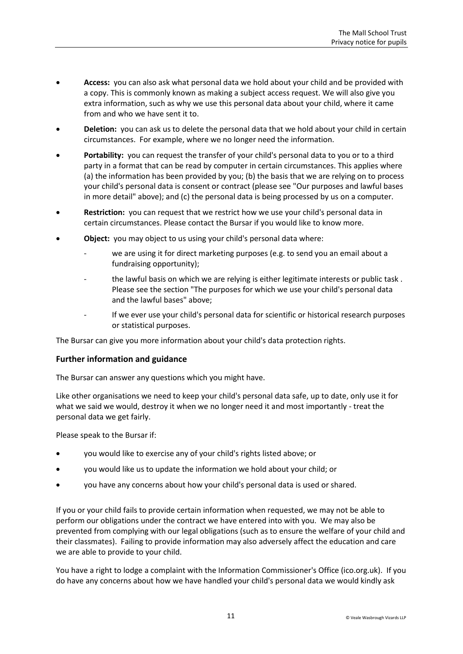- **Access:** you can also ask what personal data we hold about your child and be provided with a copy. This is commonly known as making a subject access request. We will also give you extra information, such as why we use this personal data about your child, where it came from and who we have sent it to.
- **Deletion:** you can ask us to delete the personal data that we hold about your child in certain circumstances. For example, where we no longer need the information.
- **Portability:** you can request the transfer of your child's personal data to you or to a third party in a format that can be read by computer in certain circumstances. This applies where (a) the information has been provided by you; (b) the basis that we are relying on to process your child's personal data is consent or contract (please see "Our purposes and lawful bases in more detail" above); and (c) the personal data is being processed by us on a computer.
- **Restriction:** you can request that we restrict how we use your child's personal data in certain circumstances. Please contact the Bursar if you would like to know more.
- **Object:** you may object to us using your child's personal data where:
	- we are using it for direct marketing purposes (e.g. to send you an email about a fundraising opportunity);
	- the lawful basis on which we are relying is either legitimate interests or public task. Please see the section "The purposes for which we use your child's personal data and the lawful bases" above;
	- If we ever use your child's personal data for scientific or historical research purposes or statistical purposes.

The Bursar can give you more information about your child's data protection rights.

## **Further information and guidance**

The Bursar can answer any questions which you might have.

Like other organisations we need to keep your child's personal data safe, up to date, only use it for what we said we would, destroy it when we no longer need it and most importantly - treat the personal data we get fairly.

Please speak to the Bursar if:

- you would like to exercise any of your child's rights listed above; or
- you would like us to update the information we hold about your child; or
- you have any concerns about how your child's personal data is used or shared.

If you or your child fails to provide certain information when requested, we may not be able to perform our obligations under the contract we have entered into with you. We may also be prevented from complying with our legal obligations (such as to ensure the welfare of your child and their classmates). Failing to provide information may also adversely affect the education and care we are able to provide to your child.

You have a right to lodge a complaint with the Information Commissioner's Office (ico.org.uk). If you do have any concerns about how we have handled your child's personal data we would kindly ask